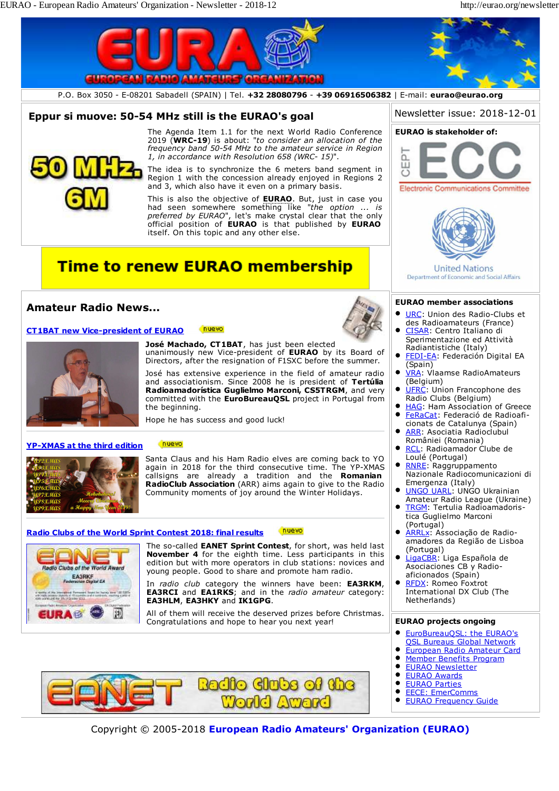